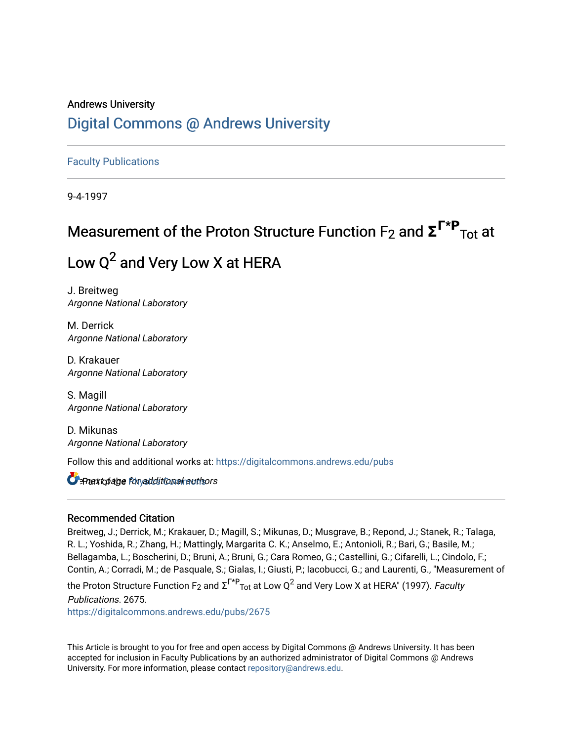## Andrews University [Digital Commons @ Andrews University](https://digitalcommons.andrews.edu/)

[Faculty Publications](https://digitalcommons.andrews.edu/pubs)

9-4-1997

# **Measurement of the Proton Structure Function F<sub>2</sub> and Σ<sup>Γ\*Ρ</sup><sub>Τοt</sub> at** Low  $Q^2$  and Very Low X at HERA

J. Breitweg Argonne National Laboratory

M. Derrick Argonne National Laboratory

D. Krakauer Argonne National Laboratory

S. Magill Argonne National Laboratory

D. Mikunas Argonne National Laboratory

Follow this and additional works at: [https://digitalcommons.andrews.edu/pubs](https://digitalcommons.andrews.edu/pubs?utm_source=digitalcommons.andrews.edu%2Fpubs%2F2675&utm_medium=PDF&utm_campaign=PDFCoverPages) 

 $\Box$   $\exists$  Part to page Physical titional nauthors

#### Recommended Citation

Breitweg, J.; Derrick, M.; Krakauer, D.; Magill, S.; Mikunas, D.; Musgrave, B.; Repond, J.; Stanek, R.; Talaga, R. L.; Yoshida, R.; Zhang, H.; Mattingly, Margarita C. K.; Anselmo, E.; Antonioli, R.; Bari, G.; Basile, M.; Bellagamba, L.; Boscherini, D.; Bruni, A.; Bruni, G.; Cara Romeo, G.; Castellini, G.; Cifarelli, L.; Cindolo, F.; Contin, A.; Corradi, M.; de Pasquale, S.; Gialas, I.; Giusti, P.; Iacobucci, G.; and Laurenti, G., "Measurement of

the Proton Structure Function F $_2$  and  $\Sigma^{\textsf{F} * \textsf{P}}$ Tot at Low Q $^2$  and Very Low X at HERA" (1997). *Faculty* 

Publications. 2675. [https://digitalcommons.andrews.edu/pubs/2675](https://digitalcommons.andrews.edu/pubs/2675?utm_source=digitalcommons.andrews.edu%2Fpubs%2F2675&utm_medium=PDF&utm_campaign=PDFCoverPages) 

This Article is brought to you for free and open access by Digital Commons @ Andrews University. It has been accepted for inclusion in Faculty Publications by an authorized administrator of Digital Commons @ Andrews University. For more information, please contact [repository@andrews.edu](mailto:repository@andrews.edu).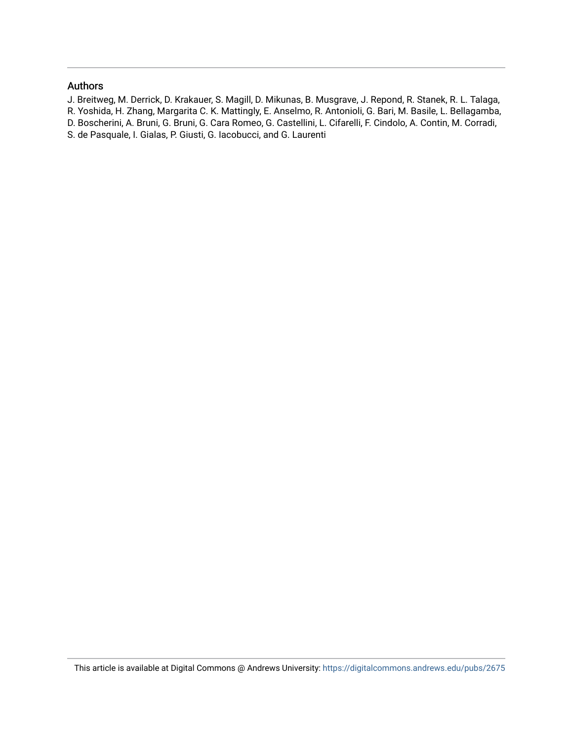#### Authors

- J. Breitweg, M. Derrick, D. Krakauer, S. Magill, D. Mikunas, B. Musgrave, J. Repond, R. Stanek, R. L. Talaga,
- R. Yoshida, H. Zhang, Margarita C. K. Mattingly, E. Anselmo, R. Antonioli, G. Bari, M. Basile, L. Bellagamba,
- D. Boscherini, A. Bruni, G. Bruni, G. Cara Romeo, G. Castellini, L. Cifarelli, F. Cindolo, A. Contin, M. Corradi,
- S. de Pasquale, I. Gialas, P. Giusti, G. Iacobucci, and G. Laurenti

This article is available at Digital Commons @ Andrews University:<https://digitalcommons.andrews.edu/pubs/2675>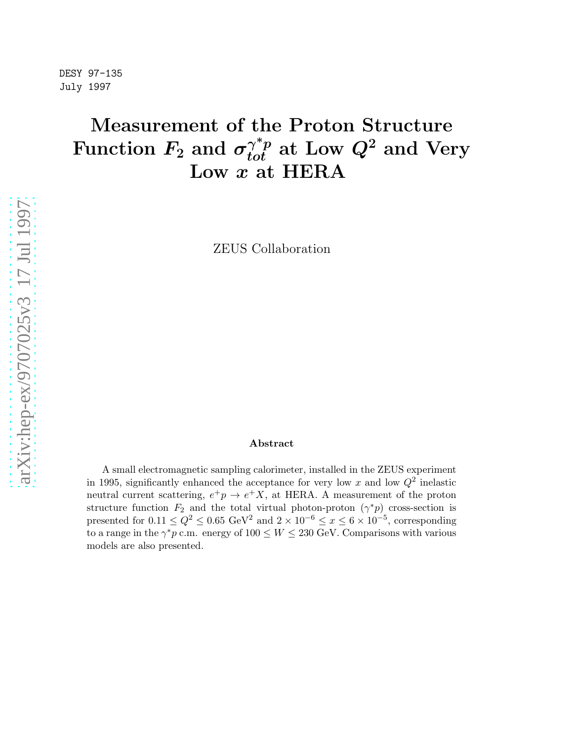## Measurement of the Proton Structure Function  $F_2$  and  $\sigma_{tot}^{\gamma^*p}$  at Low  $Q^2$  and Very Low  $x$  at HERA

ZEUS Collaboration

#### Abstract

A small electromagnetic sampling calorimeter, installed in the ZEUS experiment in 1995, significantly enhanced the acceptance for very low x and low  $Q^2$  inelastic neutral current scattering,  $e^+p \rightarrow e^+X$ , at HERA. A measurement of the proton structure function  $F_2$  and the total virtual photon-proton  $(\gamma^*p)$  cross-section is presented for  $0.11 \leq Q^2 \leq 0.65$  GeV<sup>2</sup> and  $2 \times 10^{-6} \leq x \leq 6 \times 10^{-5}$ , corresponding to a range in the  $\gamma^* p$  c.m. energy of  $100 \leq W \leq 230$  GeV. Comparisons with various models are also presented.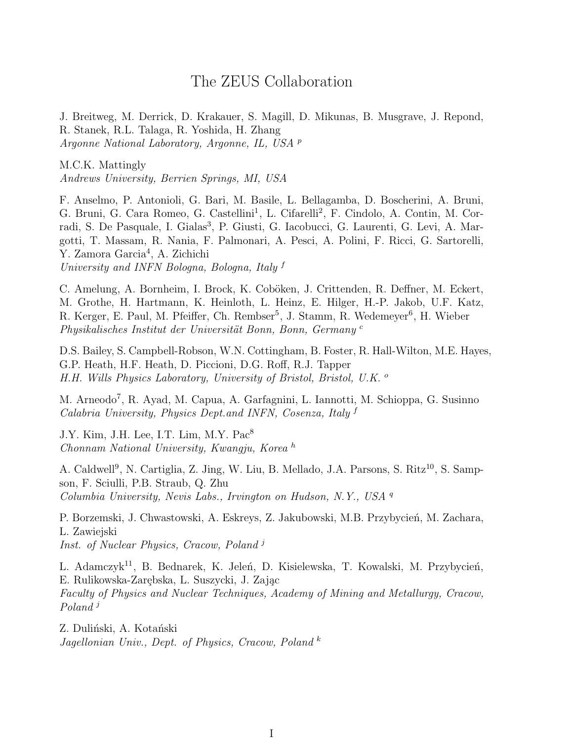## The ZEUS Collaboration

J. Breitweg, M. Derrick, D. Krakauer, S. Magill, D. Mikunas, B. Musgrave, J. Repond, R. Stanek, R.L. Talaga, R. Yoshida, H. Zhang Argonne National Laboratory, Argonne, IL, USA <sup>p</sup>

M.C.K. Mattingly Andrews University, Berrien Springs, MI, USA

F. Anselmo, P. Antonioli, G. Bari, M. Basile, L. Bellagamba, D. Boscherini, A. Bruni, G. Bruni, G. Cara Romeo, G. Castellini<sup>1</sup>, L. Cifarelli<sup>2</sup>, F. Cindolo, A. Contin, M. Corradi, S. De Pasquale, I. Gialas<sup>3</sup>, P. Giusti, G. Iacobucci, G. Laurenti, G. Levi, A. Margotti, T. Massam, R. Nania, F. Palmonari, A. Pesci, A. Polini, F. Ricci, G. Sartorelli, Y. Zamora Garcia<sup>4</sup>, A. Zichichi University and INFN Bologna, Bologna, Italy <sup>f</sup>

C. Amelung, A. Bornheim, I. Brock, K. Coböken, J. Crittenden, R. Deffner, M. Eckert, M. Grothe, H. Hartmann, K. Heinloth, L. Heinz, E. Hilger, H.-P. Jakob, U.F. Katz, R. Kerger, E. Paul, M. Pfeiffer, Ch. Rembser<sup>5</sup>, J. Stamm, R. Wedemeyer<sup>6</sup>, H. Wieber Physikalisches Institut der Universität Bonn, Bonn, Germany<sup>c</sup>

D.S. Bailey, S. Campbell-Robson, W.N. Cottingham, B. Foster, R. Hall-Wilton, M.E. Hayes, G.P. Heath, H.F. Heath, D. Piccioni, D.G. Roff, R.J. Tapper H.H. Wills Physics Laboratory, University of Bristol, Bristol, U.K. <sup>o</sup>

M. Arneodo<sup>7</sup>, R. Ayad, M. Capua, A. Garfagnini, L. Iannotti, M. Schioppa, G. Susinno Calabria University, Physics Dept.and INFN, Cosenza, Italy f

J.Y. Kim, J.H. Lee, I.T. Lim, M.Y. Pac<sup>8</sup> Chonnam National University, Kwangju, Korea <sup>h</sup>

A. Caldwell<sup>9</sup>, N. Cartiglia, Z. Jing, W. Liu, B. Mellado, J.A. Parsons, S. Ritz<sup>10</sup>, S. Sampson, F. Sciulli, P.B. Straub, Q. Zhu Columbia University, Nevis Labs., Irvington on Hudson, N.Y., USA <sup>q</sup>

P. Borzemski, J. Chwastowski, A. Eskreys, Z. Jakubowski, M.B. Przybycień, M. Zachara, L. Zawiejski Inst. of Nuclear Physics, Cracow, Poland<sup>j</sup>

L. Adamczyk<sup>11</sup>, B. Bednarek, K. Jeleń, D. Kisielewska, T. Kowalski, M. Przybycień, E. Rulikowska-Zarębska, L. Suszycki, J. Zając Faculty of Physics and Nuclear Techniques, Academy of Mining and Metallurgy, Cracow, Poland<sup>j</sup>

Z. Duliński, A. Kotański Jagellonian Univ., Dept. of Physics, Cracow, Poland <sup>k</sup>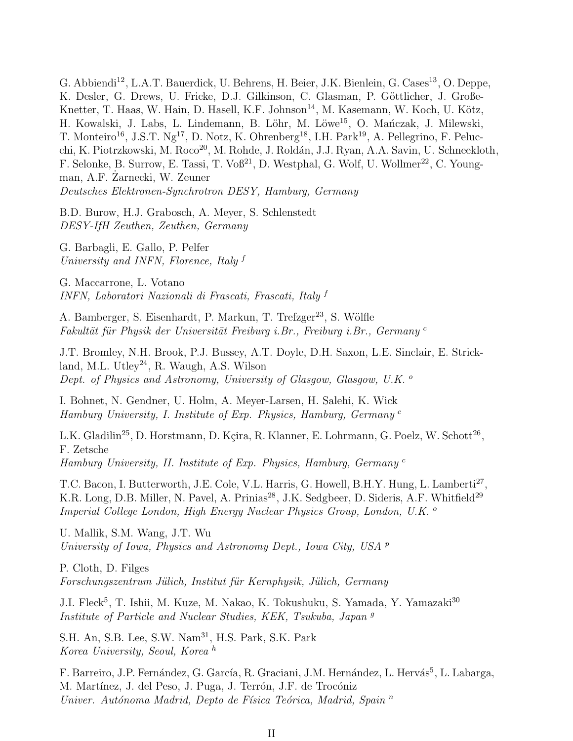G. Abbiendi<sup>12</sup>, L.A.T. Bauerdick, U. Behrens, H. Beier, J.K. Bienlein, G. Cases<sup>13</sup>, O. Deppe, K. Desler, G. Drews, U. Fricke, D.J. Gilkinson, C. Glasman, P. Göttlicher, J. Große-Knetter, T. Haas, W. Hain, D. Hasell, K.F. Johnson<sup>14</sup>, M. Kasemann, W. Koch, U. Kötz, H. Kowalski, J. Labs, L. Lindemann, B. Löhr, M. Löwe<sup>15</sup>, O. Mańczak, J. Milewski, T. Monteiro<sup>16</sup>, J.S.T. Ng<sup>17</sup>, D. Notz, K. Ohrenberg<sup>18</sup>, I.H. Park<sup>19</sup>, A. Pellegrino, F. Pelucchi, K. Piotrzkowski, M. Roco<sup>20</sup>, M. Rohde, J. Roldán, J.J. Ryan, A.A. Savin, U. Schneekloth, F. Selonke, B. Surrow, E. Tassi, T. Voß<sup>21</sup>, D. Westphal, G. Wolf, U. Wollmer<sup>22</sup>, C. Youngman, A.F. Zarnecki, W. Zeuner Deutsches Elektronen-Synchrotron DESY, Hamburg, Germany

B.D. Burow, H.J. Grabosch, A. Meyer, S. Schlenstedt DESY-IfH Zeuthen, Zeuthen, Germany

G. Barbagli, E. Gallo, P. Pelfer University and INFN, Florence, Italy <sup>f</sup>

G. Maccarrone, L. Votano INFN, Laboratori Nazionali di Frascati, Frascati, Italy <sup>f</sup>

A. Bamberger, S. Eisenhardt, P. Markun, T. Trefzger<sup>23</sup>, S. Wölfle Fakultät für Physik der Universität Freiburg i.Br., Freiburg i.Br., Germany<sup>c</sup>

J.T. Bromley, N.H. Brook, P.J. Bussey, A.T. Doyle, D.H. Saxon, L.E. Sinclair, E. Strickland, M.L. Utley<sup>24</sup>, R. Waugh, A.S. Wilson Dept. of Physics and Astronomy, University of Glasgow, Glasgow, U.K. <sup>o</sup>

I. Bohnet, N. Gendner, U. Holm, A. Meyer-Larsen, H. Salehi, K. Wick Hamburg University, I. Institute of Exp. Physics, Hamburg, Germany <sup>c</sup>

L.K. Gladilin<sup>25</sup>, D. Horstmann, D. Kçira, R. Klanner, E. Lohrmann, G. Poelz, W. Schott<sup>26</sup>, F. Zetsche Hamburg University, II. Institute of Exp. Physics, Hamburg, Germany <sup>c</sup>

T.C. Bacon, I. Butterworth, J.E. Cole, V.L. Harris, G. Howell, B.H.Y. Hung, L. Lamberti<sup>27</sup>, K.R. Long, D.B. Miller, N. Pavel, A. Prinias<sup>28</sup>, J.K. Sedgbeer, D. Sideris, A.F. Whitfield<sup>29</sup> Imperial College London, High Energy Nuclear Physics Group, London, U.K. <sup>o</sup>

U. Mallik, S.M. Wang, J.T. Wu University of Iowa, Physics and Astronomy Dept., Iowa City, USA  $^p$ 

P. Cloth, D. Filges Forschungszentrum Jülich, Institut für Kernphysik, Jülich, Germany

J.I. Fleck<sup>5</sup>, T. Ishii, M. Kuze, M. Nakao, K. Tokushuku, S. Yamada, Y. Yamazaki<sup>30</sup> Institute of Particle and Nuclear Studies, KEK, Tsukuba, Japan <sup>g</sup>

S.H. An, S.B. Lee, S.W. Nam<sup>31</sup>, H.S. Park, S.K. Park Korea University, Seoul, Korea <sup>h</sup>

F. Barreiro, J.P. Fernández, G. García, R. Graciani, J.M. Hernández, L. Hervás<sup>5</sup>, L. Labarga, M. Martínez, J. del Peso, J. Puga, J. Terrón, J.F. de Trocóniz Univer. Autónoma Madrid, Depto de Física Teórica, Madrid, Spain  $<sup>n</sup>$ </sup>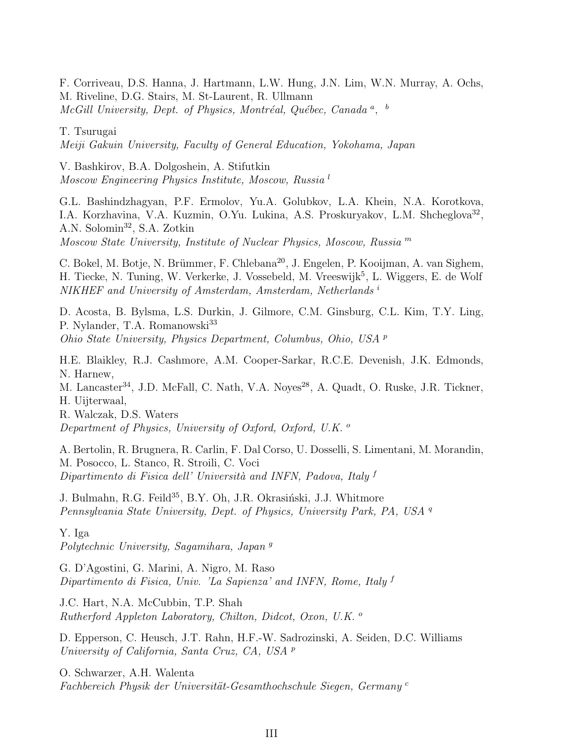F. Corriveau, D.S. Hanna, J. Hartmann, L.W. Hung, J.N. Lim, W.N. Murray, A. Ochs, M. Riveline, D.G. Stairs, M. St-Laurent, R. Ullmann  $McGill$  University, Dept. of Physics, Montréal, Québec, Canada<sup>a</sup>, <sup>b</sup>

T. Tsurugai

Meiji Gakuin University, Faculty of General Education, Yokohama, Japan

V. Bashkirov, B.A. Dolgoshein, A. Stifutkin Moscow Engineering Physics Institute, Moscow, Russia <sup>l</sup>

G.L. Bashindzhagyan, P.F. Ermolov, Yu.A. Golubkov, L.A. Khein, N.A. Korotkova, I.A. Korzhavina, V.A. Kuzmin, O.Yu. Lukina, A.S. Proskuryakov, L.M. Shcheglova<sup>32</sup>, A.N. Solomin<sup>32</sup>, S.A. Zotkin Moscow State University, Institute of Nuclear Physics, Moscow, Russia <sup>m</sup>

C. Bokel, M. Botje, N. Brümmer, F. Chlebana<sup>20</sup>, J. Engelen, P. Kooijman, A. van Sighem, H. Tiecke, N. Tuning, W. Verkerke, J. Vossebeld, M. Vreeswijk<sup>5</sup>, L. Wiggers, E. de Wolf NIKHEF and University of Amsterdam, Amsterdam, Netherlands i

D. Acosta, B. Bylsma, L.S. Durkin, J. Gilmore, C.M. Ginsburg, C.L. Kim, T.Y. Ling, P. Nylander, T.A. Romanowski<sup>33</sup> Ohio State University, Physics Department, Columbus, Ohio, USA <sup>p</sup>

H.E. Blaikley, R.J. Cashmore, A.M. Cooper-Sarkar, R.C.E. Devenish, J.K. Edmonds, N. Harnew,

M. Lancaster<sup>34</sup>, J.D. McFall, C. Nath, V.A. Noves<sup>28</sup>, A. Quadt, O. Ruske, J.R. Tickner, H. Uijterwaal,

R. Walczak, D.S. Waters Department of Physics, University of Oxford, Oxford, U.K.  $^{\circ}$ 

A. Bertolin, R. Brugnera, R. Carlin, F. Dal Corso, U. Dosselli, S. Limentani, M. Morandin, M. Posocco, L. Stanco, R. Stroili, C. Voci Dipartimento di Fisica dell' Università and INFN, Padova, Italy f

J. Bulmahn, R.G. Feild<sup>35</sup>, B.Y. Oh, J.R. Okrasiński, J.J. Whitmore Pennsylvania State University, Dept. of Physics, University Park, PA, USA <sup>q</sup>

Y. Iga Polytechnic University, Sagamihara, Japan<sup>9</sup>

G. D'Agostini, G. Marini, A. Nigro, M. Raso Dipartimento di Fisica, Univ. 'La Sapienza' and INFN, Rome, Italy <sup>f</sup>

J.C. Hart, N.A. McCubbin, T.P. Shah Rutherford Appleton Laboratory, Chilton, Didcot, Oxon, U.K. <sup>o</sup>

D. Epperson, C. Heusch, J.T. Rahn, H.F.-W. Sadrozinski, A. Seiden, D.C. Williams University of California, Santa Cruz, CA, USA <sup>p</sup>

O. Schwarzer, A.H. Walenta Fachbereich Physik der Universität-Gesamthochschule Siegen, Germany<sup>c</sup>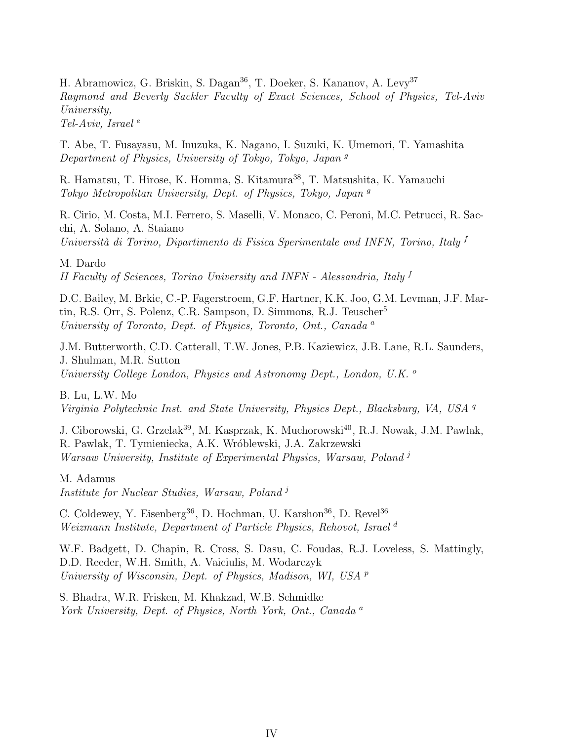H. Abramowicz, G. Briskin, S. Dagan<sup>36</sup>, T. Doeker, S. Kananov, A. Levy<sup>37</sup> Raymond and Beverly Sackler Faculty of Exact Sciences, School of Physics, Tel-Aviv University, Tel-Aviv, Israel  $e$ 

T. Abe, T. Fusayasu, M. Inuzuka, K. Nagano, I. Suzuki, K. Umemori, T. Yamashita Department of Physics, University of Tokyo, Tokyo, Japan <sup>g</sup>

R. Hamatsu, T. Hirose, K. Homma, S. Kitamura<sup>38</sup>, T. Matsushita, K. Yamauchi Tokyo Metropolitan University, Dept. of Physics, Tokyo, Japan <sup>g</sup>

R. Cirio, M. Costa, M.I. Ferrero, S. Maselli, V. Monaco, C. Peroni, M.C. Petrucci, R. Sacchi, A. Solano, A. Staiano Università di Torino, Dipartimento di Fisica Sperimentale and INFN, Torino, Italy  $f$ 

M. Dardo

II Faculty of Sciences, Torino University and INFN - Alessandria, Italy <sup>f</sup>

D.C. Bailey, M. Brkic, C.-P. Fagerstroem, G.F. Hartner, K.K. Joo, G.M. Levman, J.F. Martin, R.S. Orr, S. Polenz, C.R. Sampson, D. Simmons, R.J. Teuscher<sup>5</sup> University of Toronto, Dept. of Physics, Toronto, Ont., Canada <sup>a</sup>

J.M. Butterworth, C.D. Catterall, T.W. Jones, P.B. Kaziewicz, J.B. Lane, R.L. Saunders, J. Shulman, M.R. Sutton University College London, Physics and Astronomy Dept., London, U.K. <sup>o</sup>

B. Lu, L.W. Mo Virginia Polytechnic Inst. and State University, Physics Dept., Blacksburg, VA, USA <sup>q</sup>

J. Ciborowski, G. Grzelak<sup>39</sup>, M. Kasprzak, K. Muchorowski<sup>40</sup>, R.J. Nowak, J.M. Pawlak, R. Pawlak, T. Tymieniecka, A.K. Wróblewski, J.A. Zakrzewski Warsaw University, Institute of Experimental Physics, Warsaw, Poland<sup>j</sup>

M. Adamus Institute for Nuclear Studies, Warsaw, Poland<sup>j</sup>

C. Coldewey, Y. Eisenberg<sup>36</sup>, D. Hochman, U. Karshon<sup>36</sup>, D. Revel<sup>36</sup> Weizmann Institute, Department of Particle Physics, Rehovot, Israel<sup>d</sup>

W.F. Badgett, D. Chapin, R. Cross, S. Dasu, C. Foudas, R.J. Loveless, S. Mattingly, D.D. Reeder, W.H. Smith, A. Vaiciulis, M. Wodarczyk University of Wisconsin, Dept. of Physics, Madison, WI, USA <sup>p</sup>

S. Bhadra, W.R. Frisken, M. Khakzad, W.B. Schmidke York University, Dept. of Physics, North York, Ont., Canada<sup>a</sup>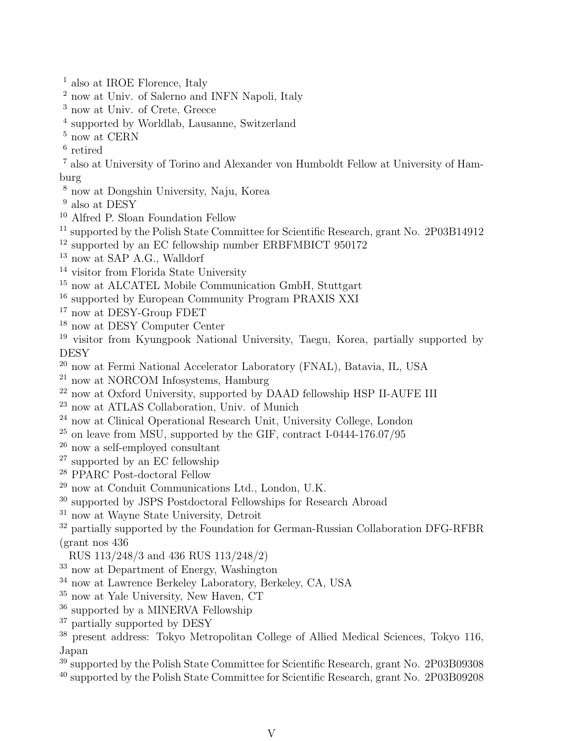- <sup>1</sup> also at IROE Florence, Italy
- <sup>2</sup> now at Univ. of Salerno and INFN Napoli, Italy
- <sup>3</sup> now at Univ. of Crete, Greece
- 4 supported by Worldlab, Lausanne, Switzerland
- $^5$  now at CERN  $\,$
- 6 retired
- <sup>7</sup> also at University of Torino and Alexander von Humboldt Fellow at University of Hamburg
- <sup>8</sup> now at Dongshin University, Naju, Korea
- <sup>9</sup> also at DESY
- <sup>10</sup> Alfred P. Sloan Foundation Fellow
- <sup>11</sup> supported by the Polish State Committee for Scientific Research, grant No. 2P03B14912
- <sup>12</sup> supported by an EC fellowship number ERBFMBICT 950172
- <sup>13</sup> now at SAP A.G., Walldorf
- <sup>14</sup> visitor from Florida State University
- <sup>15</sup> now at ALCATEL Mobile Communication GmbH, Stuttgart
- <sup>16</sup> supported by European Community Program PRAXIS XXI
- <sup>17</sup> now at DESY-Group FDET
- $^{18}$  now at DESY Computer Center
- <sup>19</sup> visitor from Kyungpook National University, Taegu, Korea, partially supported by **DESY**
- <sup>20</sup> now at Fermi National Accelerator Laboratory (FNAL), Batavia, IL, USA
- <sup>21</sup> now at NORCOM Infosystems, Hamburg
- <sup>22</sup> now at Oxford University, supported by DAAD fellowship HSP II-AUFE III
- <sup>23</sup> now at ATLAS Collaboration, Univ. of Munich
- <sup>24</sup> now at Clinical Operational Research Unit, University College, London
- $^{25}$  on leave from MSU, supported by the GIF, contract I-0444-176.07/95
- <sup>26</sup> now a self-employed consultant
- <sup>27</sup> supported by an EC fellowship
- <sup>28</sup> PPARC Post-doctoral Fellow
- <sup>29</sup> now at Conduit Communications Ltd., London, U.K.
- <sup>30</sup> supported by JSPS Postdoctoral Fellowships for Research Abroad
- $31$  now at Wayne State University, Detroit
- <sup>32</sup> partially supported by the Foundation for German-Russian Collaboration DFG-RFBR (grant nos 436
- RUS 113/248/3 and 436 RUS 113/248/2)
- <sup>33</sup> now at Department of Energy, Washington
- <sup>34</sup> now at Lawrence Berkeley Laboratory, Berkeley, CA, USA
- $35$  now at Yale University, New Haven, CT
- <sup>36</sup> supported by a MINERVA Fellowship
- <sup>37</sup> partially supported by DESY
- <sup>38</sup> present address: Tokyo Metropolitan College of Allied Medical Sciences, Tokyo 116, Japan
- <sup>39</sup> supported by the Polish State Committee for Scientific Research, grant No. 2P03B09308
- <sup>40</sup> supported by the Polish State Committee for Scientific Research, grant No. 2P03B09208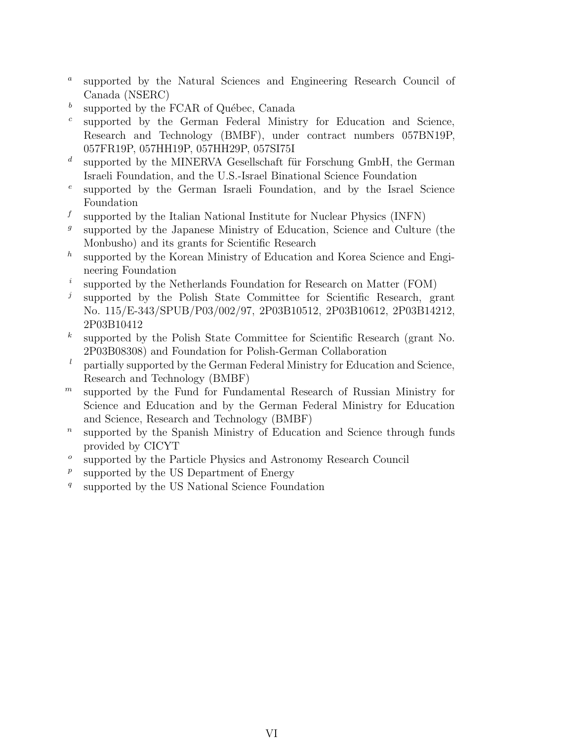- $\boldsymbol{a}$ supported by the Natural Sciences and Engineering Research Council of Canada (NSERC)
- b supported by the FCAR of Québec, Canada
- c supported by the German Federal Ministry for Education and Science, Research and Technology (BMBF), under contract numbers 057BN19P, 057FR19P, 057HH19P, 057HH29P, 057SI75I
- d supported by the MINERVA Gesellschaft für Forschung GmbH, the German Israeli Foundation, and the U.S.-Israel Binational Science Foundation
- e supported by the German Israeli Foundation, and by the Israel Science Foundation
- f supported by the Italian National Institute for Nuclear Physics (INFN)
- g supported by the Japanese Ministry of Education, Science and Culture (the Monbusho) and its grants for Scientific Research
- $h$ supported by the Korean Ministry of Education and Korea Science and Engineering Foundation
- i supported by the Netherlands Foundation for Research on Matter (FOM)
- j supported by the Polish State Committee for Scientific Research, grant No. 115/E-343/SPUB/P03/002/97, 2P03B10512, 2P03B10612, 2P03B14212, 2P03B10412
- $\boldsymbol{k}$ supported by the Polish State Committee for Scientific Research (grant No. 2P03B08308) and Foundation for Polish-German Collaboration
- <sup>l</sup> partially supported by the German Federal Ministry for Education and Science, Research and Technology (BMBF)
- $<sup>m</sup>$  supported by the Fund for Fundamental Research of Russian Ministry for</sup> Science and Education and by the German Federal Ministry for Education and Science, Research and Technology (BMBF)
- $\boldsymbol{n}$ supported by the Spanish Ministry of Education and Science through funds provided by CICYT
- o supported by the Particle Physics and Astronomy Research Council
- $\boldsymbol{p}$ supported by the US Department of Energy
- q supported by the US National Science Foundation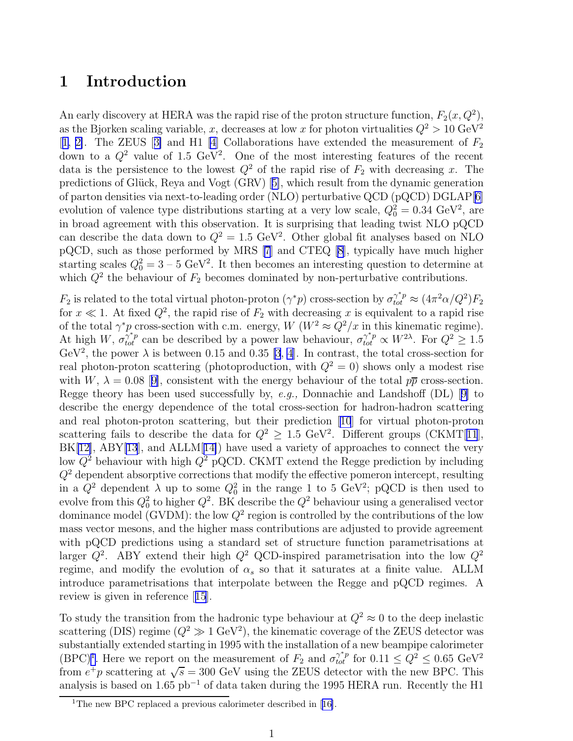## 1 Introduction

An early discovery at HERA was the rapid rise of the proton structure function,  $F_2(x, Q^2)$ , as the Bjorken scaling variable, x, decreases at low x for photon virtualities  $Q^2 > 10 \text{ GeV}^2$ [[1, 2\]](#page-20-0).The ZEUS [[3\]](#page-20-0) and H1 [\[4\]](#page-20-0) Collaborations have extended the measurement of  $F_2$ down to a  $Q^2$  value of 1.5 GeV<sup>2</sup>. One of the most interesting features of the recent data is the persistence to the lowest  $Q^2$  of the rapid rise of  $F_2$  with decreasing x. The predictionsof Glück, Reya and Vogt (GRV) [[5\]](#page-20-0), which result from the dynamic generation of parton densities via next-to-leading order (NLO) perturbative QCD (pQCD) DGLAP[[6\]](#page-20-0) evolution of valence type distributions starting at a very low scale,  $Q_0^2 = 0.34 \text{ GeV}^2$ , are in broad agreement with this observation. It is surprising that leading twist NLO pQCD can describe the data down to  $Q^2 = 1.5 \text{ GeV}^2$ . Other global fit analyses based on NLO pQCD, such as those performed by MRS [\[7\]](#page-20-0) and CTEQ [\[8](#page-20-0)], typically have much higher starting scales  $Q_0^2 = 3 - 5 \text{ GeV}^2$ . It then becomes an interesting question to determine at which  $Q^2$  the behaviour of  $F_2$  becomes dominated by non-perturbative contributions.

 $F_2$  is related to the total virtual photon-proton  $(\gamma^*p)$  cross-section by  $\sigma_{tot}^{\gamma^*p} \approx (4\pi^2\alpha/Q^2)F_2$ for  $x \ll 1$ . At fixed  $Q^2$ , the rapid rise of  $F_2$  with decreasing x is equivalent to a rapid rise of the total  $\gamma^* p$  cross-section with c.m. energy,  $W (W^2 \approx Q^2 / x$  in this kinematic regime). At high W,  $\sigma_{tot}^{\gamma^* p}$  can be described by a power law behaviour,  $\sigma_{tot}^{\gamma^* p} \propto W^{2\lambda}$ . For  $Q^2 \ge 1.5$ GeV<sup>2</sup>, the power  $\lambda$  is between 0.15 and 0.35 [\[3](#page-20-0), [4](#page-20-0)]. In contrast, the total cross-section for real photon-proton scattering (photoproduction, with  $Q^2 = 0$ ) shows only a modest rise withW,  $\lambda = 0.08$  [[9\]](#page-20-0), consistent with the energy behaviour of the total  $p\bar{p}$  cross-section. Reggetheory has been used successfully by, e.g., Donnachie and Landshoff  $(DL)$  [[9\]](#page-20-0) to describe the energy dependence of the total cross-section for hadron-hadron scattering and real photon-proton scattering, but their prediction[[10](#page-20-0)] for virtual photon-proton scattering fails to describe the data for  $Q^2 \geq 1.5 \text{ GeV}^2$ . Different groups (CKMT[[11](#page-20-0)],  $BK[12]$  $BK[12]$ ,  $ABY[13]$  $ABY[13]$  $ABY[13]$ , and  $ALLM[14]$  $ALLM[14]$ ) have used a variety of approaches to connect the very low  $Q^2$  behaviour with high  $Q^2$  pQCD. CKMT extend the Regge prediction by including  $Q<sup>2</sup>$  dependent absorptive corrections that modify the effective pomeron intercept, resulting in a  $Q^2$  dependent  $\lambda$  up to some  $Q_0^2$  in the range 1 to 5 GeV<sup>2</sup>; pQCD is then used to evolve from this  $Q_0^2$  to higher  $Q^2$ . BK describe the  $Q^2$  behaviour using a generalised vector dominance model (GVDM): the low  $Q^2$  region is controlled by the contributions of the low mass vector mesons, and the higher mass contributions are adjusted to provide agreement with pQCD predictions using a standard set of structure function parametrisations at larger  $Q^2$ . ABY extend their high  $Q^2$  QCD-inspired parametrisation into the low  $Q^2$ regime, and modify the evolution of  $\alpha_s$  so that it saturates at a finite value. ALLM introduce parametrisations that interpolate between the Regge and pQCD regimes. A review is given in reference[[15](#page-20-0)].

To study the transition from the hadronic type behaviour at  $Q^2 \approx 0$  to the deep inelastic scattering (DIS) regime  $(Q^2 \gg 1 \text{ GeV}^2)$ , the kinematic coverage of the ZEUS detector was substantially extended starting in 1995 with the installation of a new beampipe calorimeter (BPC)<sup>1</sup>. Here we report on the measurement of  $F_2$  and  $\sigma_{tot}^{\gamma^* p}$  for  $0.11 \le Q^2 \le 0.65 \text{ GeV}^2$ from  $e^+p$  scattering at  $\sqrt{s} = 300$  GeV using the ZEUS detector with the new BPC. This analysis is based on  $1.65$  pb<sup>-1</sup> of data taken during the 1995 HERA run. Recently the H1

<sup>&</sup>lt;sup>1</sup>Thenew BPC replaced a previous calorimeter described in  $[16]$  $[16]$ .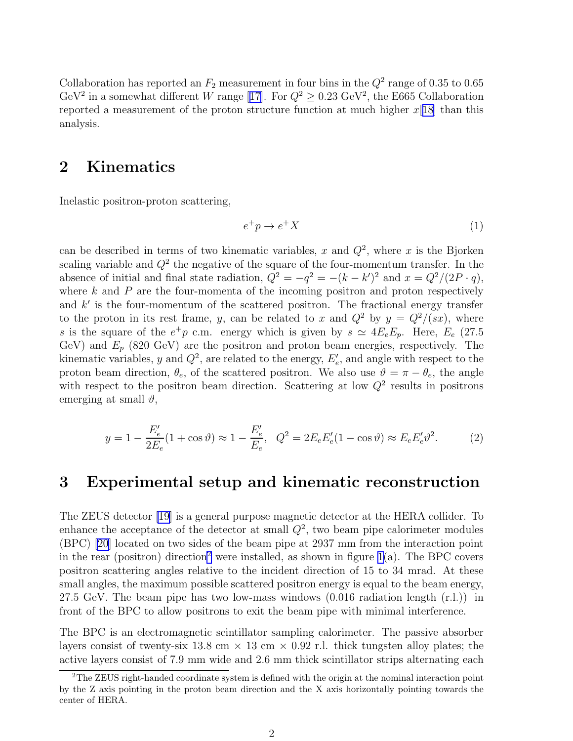<span id="page-10-0"></span>Collaboration has reported an  $F_2$  measurement in four bins in the  $Q^2$  range of 0.35 to 0.65 GeV<sup>2</sup>in a somewhat different W range [[17\]](#page-20-0). For  $Q^2 \ge 0.23$  GeV<sup>2</sup>, the E665 Collaboration reported a measurement of the proton structure function at much higher  $x[18]$  $x[18]$  $x[18]$  than this analysis.

## 2 Kinematics

Inelastic positron-proton scattering,

$$
e^+p \to e^+X \tag{1}
$$

can be described in terms of two kinematic variables, x and  $Q^2$ , where x is the Bjorken scaling variable and  $Q^2$  the negative of the square of the four-momentum transfer. In the absence of initial and final state radiation,  $Q^2 = -q^2 = -(k - k')^2$  and  $x = Q^2/(2P \cdot q)$ , where  $k$  and  $P$  are the four-momenta of the incoming positron and proton respectively and  $k'$  is the four-momentum of the scattered positron. The fractional energy transfer to the proton in its rest frame, y, can be related to x and  $Q^2$  by  $y = Q^2/(sx)$ , where s is the square of the  $e^+p$  c.m. energy which is given by  $s \simeq 4E_eE_p$ . Here,  $E_e$  (27.5 GeV) and  $E_p$  (820 GeV) are the positron and proton beam energies, respectively. The kinematic variables, y and  $Q^2$ , are related to the energy,  $E'_e$ , and angle with respect to the proton beam direction,  $\theta_e$ , of the scattered positron. We also use  $\vartheta = \pi - \theta_e$ , the angle with respect to the positron beam direction. Scattering at low  $Q^2$  results in positrons emerging at small  $\vartheta$ ,

$$
y = 1 - \frac{E_e'}{2E_e} (1 + \cos \vartheta) \approx 1 - \frac{E_e'}{E_e}, \quad Q^2 = 2E_e E_e' (1 - \cos \vartheta) \approx E_e E_e' \vartheta^2.
$$
 (2)

## 3 Experimental setup and kinematic reconstruction

The ZEUS detector [\[19](#page-20-0)] is a general purpose magnetic detector at the HERA collider. To enhance the acceptance of the detector at small  $Q^2$ , two beam pipe calorimeter modules (BPC) [\[20](#page-20-0)] located on two sides of the beam pipe at 2937 mm from the interaction point in the rear (positron) direction<sup>2</sup> were installed, as shown in figure [1\(](#page-22-0)a). The BPC covers positron scattering angles relative to the incident direction of 15 to 34 mrad. At these small angles, the maximum possible scattered positron energy is equal to the beam energy, 27.5 GeV. The beam pipe has two low-mass windows  $(0.016 \text{ radiation length (r.l.}))$  in front of the BPC to allow positrons to exit the beam pipe with minimal interference.

The BPC is an electromagnetic scintillator sampling calorimeter. The passive absorber layers consist of twenty-six 13.8 cm  $\times$  13 cm  $\times$  0.92 r.l. thick tungsten alloy plates; the active layers consist of 7.9 mm wide and 2.6 mm thick scintillator strips alternating each

<sup>2</sup>The ZEUS right-handed coordinate system is defined with the origin at the nominal interaction point by the Z axis pointing in the proton beam direction and the X axis horizontally pointing towards the center of HERA.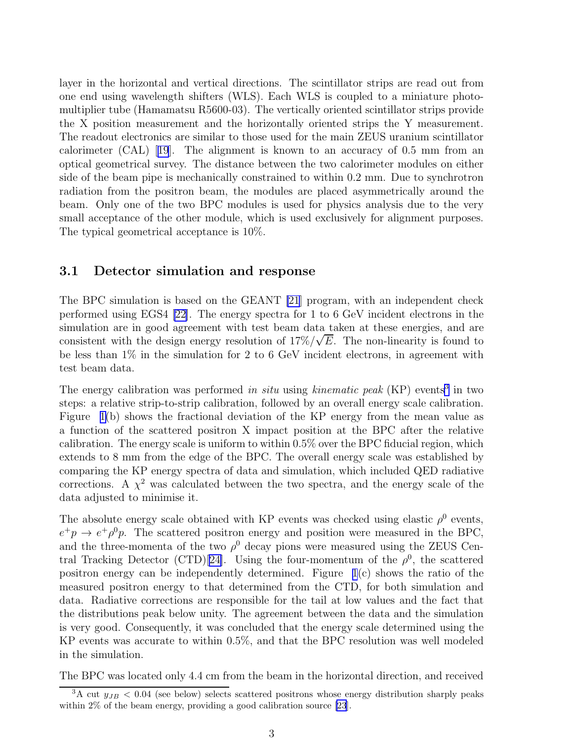<span id="page-11-0"></span>layer in the horizontal and vertical directions. The scintillator strips are read out from one end using wavelength shifters (WLS). Each WLS is coupled to a miniature photomultiplier tube (Hamamatsu R5600-03). The vertically oriented scintillator strips provide the X position measurement and the horizontally oriented strips the Y measurement. The readout electronics are similar to those used for the main ZEUS uranium scintillator calorimeter (CAL)[[19](#page-20-0)]. The alignment is known to an accuracy of 0.5 mm from an optical geometrical survey. The distance between the two calorimeter modules on either side of the beam pipe is mechanically constrained to within 0.2 mm. Due to synchrotron radiation from the positron beam, the modules are placed asymmetrically around the beam. Only one of the two BPC modules is used for physics analysis due to the very small acceptance of the other module, which is used exclusively for alignment purposes. The typical geometrical acceptance is 10%.

#### 3.1 Detector simulation and response

The BPC simulation is based on the GEANT [\[21](#page-20-0)] program, with an independent check performed using EGS4 [\[22\]](#page-20-0). The energy spectra for 1 to 6 GeV incident electrons in the simulation are in good agreement with test beam data taken at these energies, and are consistent with the design energy resolution of  $17\%/\sqrt{E}$ . The non-linearity is found to be less than 1% in the simulation for 2 to 6 GeV incident electrons, in agreement with test beam data.

The energy calibration was performed in situ using kinematic peak  $(KP)$  events<sup>3</sup> in two steps: a relative strip-to-strip calibration, followed by an overall energy scale calibration. Figure [1\(](#page-22-0)b) shows the fractional deviation of the KP energy from the mean value as a function of the scattered positron X impact position at the BPC after the relative calibration. The energy scale is uniform to within 0.5% over the BPC fiducial region, which extends to 8 mm from the edge of the BPC. The overall energy scale was established by comparing the KP energy spectra of data and simulation, which included QED radiative corrections. A  $\chi^2$  was calculated between the two spectra, and the energy scale of the data adjusted to minimise it.

The absolute energy scale obtained with KP events was checked using elastic  $\rho^0$  events,  $e^+p \rightarrow e^+\rho^0p$ . The scattered positron energy and position were measured in the BPC, and the three-momenta of the two  $\rho^0$  decay pions were measured using the ZEUS Cen-tral Tracking Detector (CTD)[[24\]](#page-21-0). Using the four-momentum of the  $\rho^0$ , the scattered positron energy can be independently determined. Figure  $1(c)$  shows the ratio of the measured positron energy to that determined from the CTD, for both simulation and data. Radiative corrections are responsible for the tail at low values and the fact that the distributions peak below unity. The agreement between the data and the simulation is very good. Consequently, it was concluded that the energy scale determined using the KP events was accurate to within 0.5%, and that the BPC resolution was well modeled in the simulation.

The BPC was located only 4.4 cm from the beam in the horizontal direction, and received

 $3A$  cut  $y_{JB}$  < 0.04 (see below) selects scattered positrons whose energy distribution sharply peaks within 2% of the beam energy, providing a good calibration source [\[23](#page-21-0)].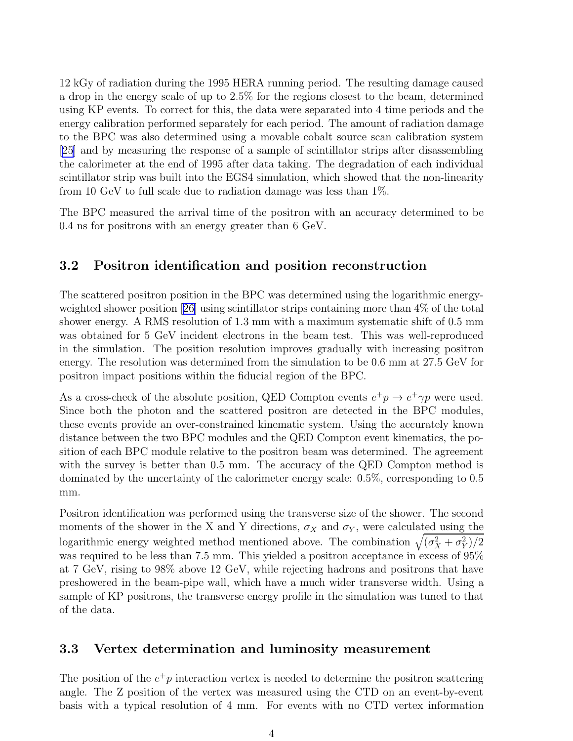<span id="page-12-0"></span>12 kGy of radiation during the 1995 HERA running period. The resulting damage caused a drop in the energy scale of up to 2.5% for the regions closest to the beam, determined using KP events. To correct for this, the data were separated into 4 time periods and the energy calibration performed separately for each period. The amount of radiation damage to the BPC was also determined using a movable cobalt source scan calibration system [[25](#page-21-0)] and by measuring the response of a sample of scintillator strips after disassembling the calorimeter at the end of 1995 after data taking. The degradation of each individual scintillator strip was built into the EGS4 simulation, which showed that the non-linearity from 10 GeV to full scale due to radiation damage was less than 1%.

The BPC measured the arrival time of the positron with an accuracy determined to be 0.4 ns for positrons with an energy greater than 6 GeV.

#### 3.2 Positron identification and position reconstruction

The scattered positron position in the BPC was determined using the logarithmic energyweighted shower position[[26\]](#page-21-0) using scintillator strips containing more than 4% of the total shower energy. A RMS resolution of 1.3 mm with a maximum systematic shift of 0.5 mm was obtained for 5 GeV incident electrons in the beam test. This was well-reproduced in the simulation. The position resolution improves gradually with increasing positron energy. The resolution was determined from the simulation to be 0.6 mm at 27.5 GeV for positron impact positions within the fiducial region of the BPC.

As a cross-check of the absolute position, QED Compton events  $e^+p \to e^+\gamma p$  were used. Since both the photon and the scattered positron are detected in the BPC modules, these events provide an over-constrained kinematic system. Using the accurately known distance between the two BPC modules and the QED Compton event kinematics, the position of each BPC module relative to the positron beam was determined. The agreement with the survey is better than 0.5 mm. The accuracy of the QED Compton method is dominated by the uncertainty of the calorimeter energy scale: 0.5%, corresponding to 0.5 mm.

Positron identification was performed using the transverse size of the shower. The second moments of the shower in the X and Y directions,  $\sigma_X$  and  $\sigma_Y$ , were calculated using the logarithmic energy weighted method mentioned above. The combination  $\sqrt{(\sigma_X^2 + \sigma_Y^2)/2}$ was required to be less than 7.5 mm. This yielded a positron acceptance in excess of 95% at 7 GeV, rising to 98% above 12 GeV, while rejecting hadrons and positrons that have preshowered in the beam-pipe wall, which have a much wider transverse width. Using a sample of KP positrons, the transverse energy profile in the simulation was tuned to that of the data.

#### 3.3 Vertex determination and luminosity measurement

The position of the  $e^+p$  interaction vertex is needed to determine the positron scattering angle. The Z position of the vertex was measured using the CTD on an event-by-event basis with a typical resolution of 4 mm. For events with no CTD vertex information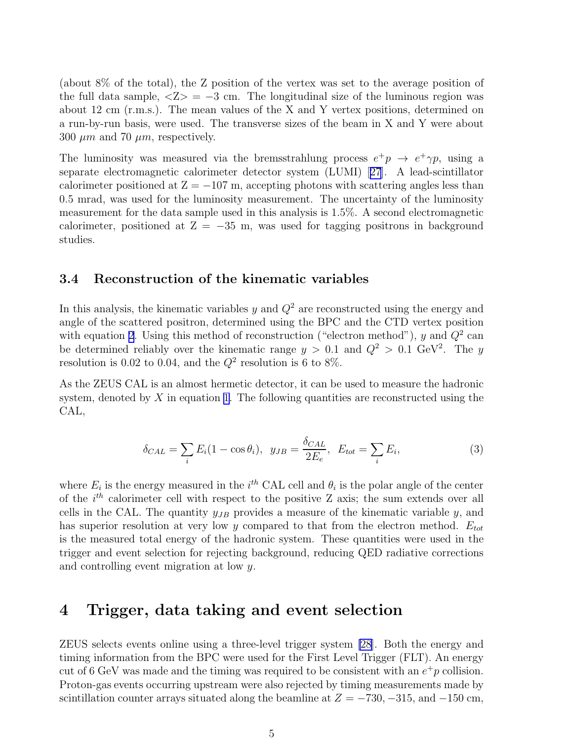(about 8% of the total), the Z position of the vertex was set to the average position of the full data sample,  $\langle Z \rangle = -3$  cm. The longitudinal size of the luminous region was about 12 cm (r.m.s.). The mean values of the X and Y vertex positions, determined on a run-by-run basis, were used. The transverse sizes of the beam in X and Y were about 300  $\mu$ m and 70  $\mu$ m, respectively.

The luminosity was measured via the bremsstrahlung process  $e^+p \rightarrow e^+\gamma p$ , using a separate electromagnetic calorimeter detector system (LUMI)[[27](#page-21-0)]. A lead-scintillator calorimeter positioned at  $Z = -107$  m, accepting photons with scattering angles less than 0.5 mrad, was used for the luminosity measurement. The uncertainty of the luminosity measurement for the data sample used in this analysis is 1.5%. A second electromagnetic calorimeter, positioned at  $Z = -35$  m, was used for tagging positrons in background studies.

#### 3.4 Reconstruction of the kinematic variables

In this analysis, the kinematic variables  $y$  and  $Q^2$  are reconstructed using the energy and angle of the scattered positron, determined using the BPC and the CTD vertex position with equation [2](#page-10-0). Using this method of reconstruction ("electron method"), y and  $Q^2$  can be determined reliably over the kinematic range  $y > 0.1$  and  $Q^2 > 0.1$  GeV<sup>2</sup>. The y resolution is 0.02 to 0.04, and the  $Q^2$  resolution is 6 to 8%.

As the ZEUS CAL is an almost hermetic detector, it can be used to measure the hadronic system, denoted by  $X$  in equation [1](#page-10-0). The following quantities are reconstructed using the CAL,

$$
\delta_{CAL} = \sum_{i} E_i (1 - \cos \theta_i), \quad y_{JB} = \frac{\delta_{CAL}}{2E_e}, \quad E_{tot} = \sum_{i} E_i,\tag{3}
$$

where  $E_i$  is the energy measured in the  $i^{th}$  CAL cell and  $\theta_i$  is the polar angle of the center of the  $i^{th}$  calorimeter cell with respect to the positive Z axis; the sum extends over all cells in the CAL. The quantity  $y_{JB}$  provides a measure of the kinematic variable y, and has superior resolution at very low y compared to that from the electron method.  $E_{tot}$ is the measured total energy of the hadronic system. These quantities were used in the trigger and event selection for rejecting background, reducing QED radiative corrections and controlling event migration at low y.

## 4 Trigger, data taking and event selection

ZEUS selects events online using a three-level trigger system [\[28\]](#page-21-0). Both the energy and timing information from the BPC were used for the First Level Trigger (FLT). An energy cut of 6 GeV was made and the timing was required to be consistent with an  $e^+p$  collision. Proton-gas events occurring upstream were also rejected by timing measurements made by scintillation counter arrays situated along the beamline at  $Z = -730, -315,$  and  $-150$  cm,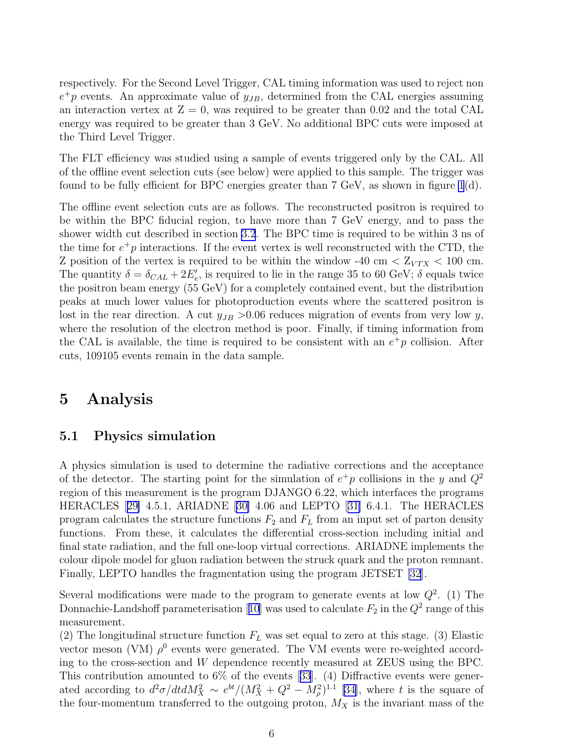<span id="page-14-0"></span>respectively. For the Second Level Trigger, CAL timing information was used to reject non  $e^+p$  events. An approximate value of  $y_{JB}$ , determined from the CAL energies assuming an interaction vertex at  $Z = 0$ , was required to be greater than 0.02 and the total CAL energy was required to be greater than 3 GeV. No additional BPC cuts were imposed at the Third Level Trigger.

The FLT efficiency was studied using a sample of events triggered only by the CAL. All of the offline event selection cuts (see below) were applied to this sample. The trigger was found to be fully efficient for BPC energies greater than 7 GeV, as shown in figure  $1(d)$ .

The offline event selection cuts are as follows. The reconstructed positron is required to be within the BPC fiducial region, to have more than 7 GeV energy, and to pass the shower width cut described in section [3.2](#page-12-0). The BPC time is required to be within 3 ns of the time for  $e^+p$  interactions. If the event vertex is well reconstructed with the CTD, the Z position of the vertex is required to be within the window -40 cm  $< Z_{VTX} < 100$  cm. The quantity  $\delta = \delta_{CAL} + 2E_e'$ , is required to lie in the range 35 to 60 GeV;  $\delta$  equals twice the positron beam energy (55 GeV) for a completely contained event, but the distribution peaks at much lower values for photoproduction events where the scattered positron is lost in the rear direction. A cut  $y_{JB} > 0.06$  reduces migration of events from very low y, where the resolution of the electron method is poor. Finally, if timing information from the CAL is available, the time is required to be consistent with an  $e^+p$  collision. After cuts, 109105 events remain in the data sample.

## 5 Analysis

#### 5.1 Physics simulation

A physics simulation is used to determine the radiative corrections and the acceptance of the detector. The starting point for the simulation of  $e^+p$  collisions in the y and  $Q^2$ region of this measurement is the program DJANGO 6.22, which interfaces the programs HERACLES[[29\]](#page-21-0) 4.5.1, ARIADNE[[30\]](#page-21-0) 4.06 and LEPTO[[31\]](#page-21-0) 6.4.1. The HERACLES program calculates the structure functions  $F_2$  and  $F_L$  from an input set of parton density functions. From these, it calculates the differential cross-section including initial and final state radiation, and the full one-loop virtual corrections. ARIADNE implements the colour dipole model for gluon radiation between the struck quark and the proton remnant. Finally, LEPTO handles the fragmentation using the program JETSET [\[32](#page-21-0)].

Several modifications were made to the program to generate events at low  $Q^2$ . (1) The Donnachie-Landshoffparameterisation [[10](#page-20-0)] was used to calculate  $F_2$  in the  $Q^2$  range of this measurement.

(2) The longitudinal structure function  $F_L$  was set equal to zero at this stage. (3) Elastic vector meson (VM)  $\rho^0$  events were generated. The VM events were re-weighted according to the cross-section and W dependence recently measured at ZEUS using the BPC. Thiscontribution amounted to  $6\%$  of the events [[33](#page-21-0)]. (4) Diffractive events were generated according to  $d^2\sigma/dt dM_X^2 \sim e^{bt}/(M_X^2 + Q^2 - M_\rho^2)^{1.1}$  [\[34](#page-21-0)], where t is the square of the four-momentum transferred to the outgoing proton,  $M_X$  is the invariant mass of the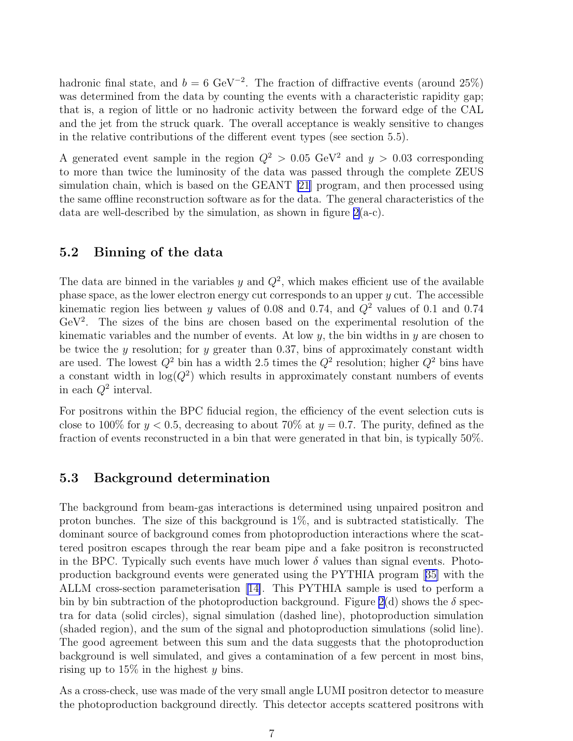hadronic final state, and  $b = 6 \text{ GeV}^{-2}$ . The fraction of diffractive events (around 25%) was determined from the data by counting the events with a characteristic rapidity gap; that is, a region of little or no hadronic activity between the forward edge of the CAL and the jet from the struck quark. The overall acceptance is weakly sensitive to changes in the relative contributions of the different event types (see section 5.5).

A generated event sample in the region  $Q^2 > 0.05$  GeV<sup>2</sup> and  $y > 0.03$  corresponding to more than twice the luminosity of the data was passed through the complete ZEUS simulation chain, which is based on the GEANT [\[21](#page-20-0)] program, and then processed using the same offline reconstruction software as for the data. The general characteristics of the data are well-described by the simulation, as shown in figure  $2(a-c)$ .

#### 5.2 Binning of the data

The data are binned in the variables y and  $Q^2$ , which makes efficient use of the available phase space, as the lower electron energy cut corresponds to an upper  $y$  cut. The accessible kinematic region lies between y values of 0.08 and 0.74, and  $Q^2$  values of 0.1 and 0.74 GeV<sup>2</sup> . The sizes of the bins are chosen based on the experimental resolution of the kinematic variables and the number of events. At low  $y$ , the bin widths in  $y$  are chosen to be twice the y resolution; for y greater than 0.37, bins of approximately constant width are used. The lowest  $Q^2$  bin has a width 2.5 times the  $Q^2$  resolution; higher  $Q^2$  bins have a constant width in  $log(Q^2)$  which results in approximately constant numbers of events in each  $Q^2$  interval.

For positrons within the BPC fiducial region, the efficiency of the event selection cuts is close to 100% for  $y < 0.5$ , decreasing to about 70% at  $y = 0.7$ . The purity, defined as the fraction of events reconstructed in a bin that were generated in that bin, is typically 50%.

#### 5.3 Background determination

The background from beam-gas interactions is determined using unpaired positron and proton bunches. The size of this background is 1%, and is subtracted statistically. The dominant source of background comes from photoproduction interactions where the scattered positron escapes through the rear beam pipe and a fake positron is reconstructed in the BPC. Typically such events have much lower  $\delta$  values than signal events. Photoproduction background events were generated using the PYTHIA program[[35\]](#page-21-0) with the ALLM cross-section parameterisation [\[14\]](#page-20-0). This PYTHIA sample is used to perform a bin by bin subtraction of the photoproduction background. Figure [2\(](#page-23-0)d) shows the  $\delta$  spectra for data (solid circles), signal simulation (dashed line), photoproduction simulation (shaded region), and the sum of the signal and photoproduction simulations (solid line). The good agreement between this sum and the data suggests that the photoproduction background is well simulated, and gives a contamination of a few percent in most bins, rising up to  $15\%$  in the highest y bins.

As a cross-check, use was made of the very small angle LUMI positron detector to measure the photoproduction background directly. This detector accepts scattered positrons with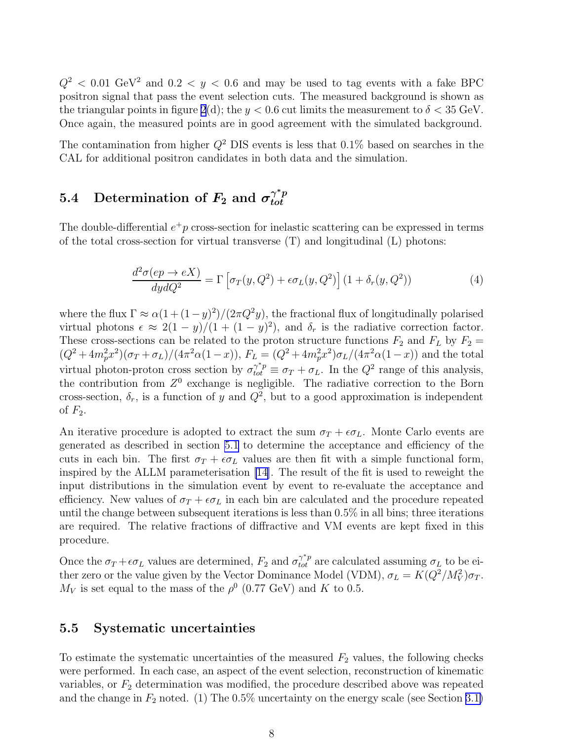$Q^2$  < 0.01 GeV<sup>2</sup> and 0.2 < y < 0.6 and may be used to tag events with a fake BPC positron signal that pass the event selection cuts. The measured background is shown as the triangular points in figure [2](#page-23-0)(d); the  $y < 0.6$  cut limits the measurement to  $\delta < 35$  GeV. Once again, the measured points are in good agreement with the simulated background.

The contamination from higher  $Q^2$  DIS events is less that 0.1% based on searches in the CAL for additional positron candidates in both data and the simulation.

#### 5.4 Determination of  $F_2$  and  $\sigma_{tot}^{\gamma^*p}$ tot

The double-differential  $e^+p$  cross-section for inelastic scattering can be expressed in terms of the total cross-section for virtual transverse  $(T)$  and longitudinal  $(L)$  photons:

$$
\frac{d^2\sigma(ep \to eX)}{dydQ^2} = \Gamma \left[ \sigma_T(y, Q^2) + \epsilon \sigma_L(y, Q^2) \right] (1 + \delta_r(y, Q^2)) \tag{4}
$$

where the flux  $\Gamma \approx \alpha(1+(1-y)^2)/(2\pi Q^2y)$ , the fractional flux of longitudinally polarised virtual photons  $\epsilon \approx 2(1-y)/(1+(1-y)^2)$ , and  $\delta_r$  is the radiative correction factor. These cross-sections can be related to the proton structure functions  $F_2$  and  $F_L$  by  $F_2 =$  $(Q^2 + 4m_p^2x^2)(\sigma_T + \sigma_L)/(4\pi^2\alpha(1-x)), F_L = (Q^2 + 4m_p^2x^2)\sigma_L/(4\pi^2\alpha(1-x))$  and the total virtual photon-proton cross section by  $\sigma_{tot}^{\gamma^*p} \equiv \sigma_T + \sigma_L$ . In the  $Q^2$  range of this analysis, the contribution from  $Z^0$  exchange is negligible. The radiative correction to the Born cross-section,  $\delta_r$ , is a function of y and  $Q^2$ , but to a good approximation is independent of  $F_2$ .

An iterative procedure is adopted to extract the sum  $\sigma_T + \epsilon \sigma_L$ . Monte Carlo events are generated as described in section [5.1](#page-14-0) to determine the acceptance and efficiency of the cuts in each bin. The first  $\sigma_T + \epsilon \sigma_L$  values are then fit with a simple functional form, inspired by the ALLM parameterisation [\[14](#page-20-0)]. The result of the fit is used to reweight the input distributions in the simulation event by event to re-evaluate the acceptance and efficiency. New values of  $\sigma_T + \epsilon \sigma_L$  in each bin are calculated and the procedure repeated until the change between subsequent iterations is less than 0.5% in all bins; three iterations are required. The relative fractions of diffractive and VM events are kept fixed in this procedure.

Once the  $\sigma_T + \epsilon \sigma_L$  values are determined,  $F_2$  and  $\sigma_{tot}^{\gamma^*p}$  are calculated assuming  $\sigma_L$  to be either zero or the value given by the Vector Dominance Model (VDM),  $\sigma_L = K(Q^2/M_V^2)\sigma_T$ .  $M_V$  is set equal to the mass of the  $\rho^0$  (0.77 GeV) and K to 0.5.

#### 5.5 Systematic uncertainties

To estimate the systematic uncertainties of the measured  $F_2$  values, the following checks were performed. In each case, an aspect of the event selection, reconstruction of kinematic variables, or  $F_2$  determination was modified, the procedure described above was repeated and the change in  $F_2$  noted. (1) The 0.5% uncertainty on the energy scale (see Section [3.1\)](#page-11-0)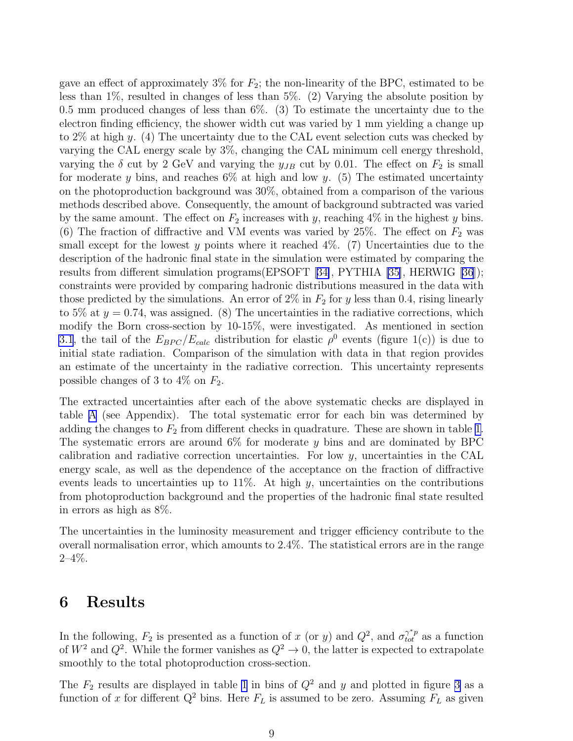gave an effect of approximately  $3\%$  for  $F_2$ ; the non-linearity of the BPC, estimated to be less than 1%, resulted in changes of less than 5%. (2) Varying the absolute position by 0.5 mm produced changes of less than 6%. (3) To estimate the uncertainty due to the electron finding efficiency, the shower width cut was varied by 1 mm yielding a change up to  $2\%$  at high y. (4) The uncertainty due to the CAL event selection cuts was checked by varying the CAL energy scale by 3%, changing the CAL minimum cell energy threshold, varying the  $\delta$  cut by 2 GeV and varying the  $y_{JB}$  cut by 0.01. The effect on  $F_2$  is small for moderate y bins, and reaches  $6\%$  at high and low y. (5) The estimated uncertainty on the photoproduction background was 30%, obtained from a comparison of the various methods described above. Consequently, the amount of background subtracted was varied by the same amount. The effect on  $F_2$  increases with y, reaching  $4\%$  in the highest y bins. (6) The fraction of diffractive and VM events was varied by  $25\%$ . The effect on  $F_2$  was small except for the lowest y points where it reached  $4\%$ . (7) Uncertainties due to the description of the hadronic final state in the simulation were estimated by comparing the results from different simulation programs(EPSOFT[[34\]](#page-21-0), PYTHIA [\[35\]](#page-21-0), HERWIG [\[36](#page-21-0)]); constraints were provided by comparing hadronic distributions measured in the data with those predicted by the simulations. An error of  $2\%$  in  $F_2$  for y less than 0.4, rising linearly to 5% at  $y = 0.74$ , was assigned. (8) The uncertainties in the radiative corrections, which modify the Born cross-section by 10-15%, were investigated. As mentioned in section [3.1](#page-11-0), the tail of the  $E_{BPC}/E_{calc}$  distribution for elastic  $\rho^0$  events (figure 1(c)) is due to initial state radiation. Comparison of the simulation with data in that region provides an estimate of the uncertainty in the radiative correction. This uncertainty represents possible changes of 3 to 4\% on  $F_2$ .

The extracted uncertainties after each of the above systematic checks are displayed in table [A](#page-18-0) (see Appendix). The total systematic error for each bin was determined by adding the changes to  $F_2$  from different checks in quadrature. These are shown in table [1.](#page-18-0) The systematic errors are around  $6\%$  for moderate y bins and are dominated by BPC calibration and radiative correction uncertainties. For low  $y$ , uncertainties in the CAL energy scale, as well as the dependence of the acceptance on the fraction of diffractive events leads to uncertainties up to  $11\%$ . At high y, uncertainties on the contributions from photoproduction background and the properties of the hadronic final state resulted in errors as high as 8%.

The uncertainties in the luminosity measurement and trigger efficiency contribute to the overall normalisation error, which amounts to 2.4%. The statistical errors are in the range  $2 - 4\%$ .

## 6 Results

In the following,  $F_2$  is presented as a function of x (or y) and  $Q^2$ , and  $\sigma_{tot}^{\gamma^*p}$  as a function of  $W^2$  and  $Q^2$ . While the former vanishes as  $Q^2 \to 0$ , the latter is expected to extrapolate smoothly to the total photoproduction cross-section.

The  $F_2$  results are displayed in table [1](#page-18-0) in bins of  $Q^2$  and y and plotted in figure [3](#page-24-0) as a function of x for different  $Q^2$  bins. Here  $F_L$  is assumed to be zero. Assuming  $F_L$  as given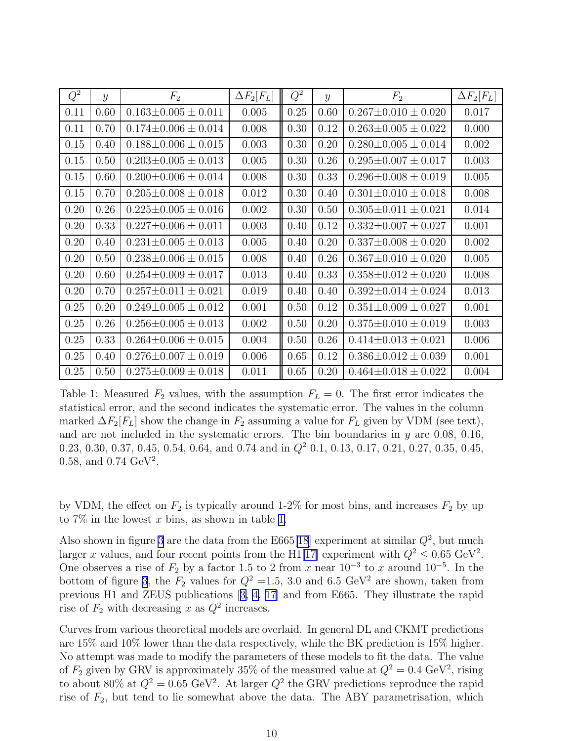<span id="page-18-0"></span>

| $Q^2$ | $\mathcal{Y}$ | $F_2$                       | $\Delta F_2[F_L]$ | $Q^2$ | $\mathcal{Y}$ | $F_2$                       | $\Delta F_2[F_L]$ |
|-------|---------------|-----------------------------|-------------------|-------|---------------|-----------------------------|-------------------|
| 0.11  | 0.60          | $0.163 \pm 0.005 \pm 0.011$ | 0.005             | 0.25  | 0.60          | $0.267 \pm 0.010 \pm 0.020$ | 0.017             |
| 0.11  | 0.70          | $0.174 \pm 0.006 \pm 0.014$ | 0.008             | 0.30  | 0.12          | $0.263 \pm 0.005 \pm 0.022$ | 0.000             |
| 0.15  | 0.40          | $0.188\pm0.006\pm0.015$     | 0.003             | 0.30  | 0.20          | $0.280 \pm 0.005 \pm 0.014$ | 0.002             |
| 0.15  | 0.50          | $0.203 \pm 0.005 \pm 0.013$ | 0.005             | 0.30  | 0.26          | $0.295 \pm 0.007 \pm 0.017$ | 0.003             |
| 0.15  | 0.60          | $0.200 \pm 0.006 \pm 0.014$ | 0.008             | 0.30  | 0.33          | $0.296 \pm 0.008 \pm 0.019$ | 0.005             |
| 0.15  | 0.70          | $0.205 \pm 0.008 \pm 0.018$ | 0.012             | 0.30  | 0.40          | $0.301 \pm 0.010 \pm 0.018$ | 0.008             |
| 0.20  | 0.26          | $0.225 \pm 0.005 \pm 0.016$ | 0.002             | 0.30  | 0.50          | $0.305 \pm 0.011 \pm 0.021$ | 0.014             |
| 0.20  | 0.33          | $0.227 \pm 0.006 \pm 0.011$ | 0.003             | 0.40  | 0.12          | $0.332\pm0.007\pm0.027$     | 0.001             |
| 0.20  | 0.40          | $0.231 \pm 0.005 \pm 0.013$ | 0.005             | 0.40  | 0.20          | $0.337\pm0.008\pm0.020$     | 0.002             |
| 0.20  | 0.50          | $0.238\pm0.006\pm0.015$     | 0.008             | 0.40  | 0.26          | $0.367 \pm 0.010 \pm 0.020$ | 0.005             |
| 0.20  | 0.60          | $0.254\pm0.009\pm0.017$     | 0.013             | 0.40  | 0.33          | $0.358\pm0.012\pm0.020$     | 0.008             |
| 0.20  | 0.70          | $0.257 \pm 0.011 \pm 0.021$ | 0.019             | 0.40  | 0.40          | $0.392 \pm 0.014 \pm 0.024$ | 0.013             |
| 0.25  | 0.20          | $0.249 \pm 0.005 \pm 0.012$ | 0.001             | 0.50  | 0.12          | $0.351 \pm 0.009 \pm 0.027$ | 0.001             |
| 0.25  | 0.26          | $0.256 \pm 0.005 \pm 0.013$ | 0.002             | 0.50  | 0.20          | $0.375 \pm 0.010 \pm 0.019$ | 0.003             |
| 0.25  | 0.33          | $0.264 \pm 0.006 \pm 0.015$ | 0.004             | 0.50  | 0.26          | $0.414\pm0.013\pm0.021$     | 0.006             |
| 0.25  | 0.40          | $0.276 \pm 0.007 \pm 0.019$ | 0.006             | 0.65  | 0.12          | $0.386 \pm 0.012 \pm 0.039$ | 0.001             |
| 0.25  | 0.50          | $0.275 \pm 0.009 \pm 0.018$ | 0.011             | 0.65  | 0.20          | $0.464 \pm 0.018 \pm 0.022$ | 0.004             |

Table 1: Measured  $F_2$  values, with the assumption  $F_L = 0$ . The first error indicates the statistical error, and the second indicates the systematic error. The values in the column marked  $\Delta F_2[F_L]$  show the change in  $F_2$  assuming a value for  $F_L$  given by VDM (see text), and are not included in the systematic errors. The bin boundaries in  $y$  are 0.08, 0.16, 0.23, 0.30, 0.37, 0.45, 0.54, 0.64, and 0.74 and in  $Q^2$  0.1, 0.13, 0.17, 0.21, 0.27, 0.35, 0.45, 0.58, and 0.74  $\text{GeV}^2$ .

by VDM, the effect on  $F_2$  is typically around 1-2% for most bins, and increases  $F_2$  by up to  $7\%$  in the lowest x bins, as shown in table 1.

Also shown in figure [3](#page-24-0) are the data from the E665[\[18\]](#page-20-0) experiment at similar  $Q^2$ , but much larger x values, and four recent points from the H1[[17\]](#page-20-0) experiment with  $Q^2 \leq 0.65 \text{ GeV}^2$ . One observes a rise of  $F_2$  by a factor 1.5 to 2 from x near  $10^{-3}$  to x around  $10^{-5}$ . In the bottom of figure [3](#page-24-0), the  $F_2$  values for  $Q^2 = 1.5$ , 3.0 and 6.5 GeV<sup>2</sup> are shown, taken from previous H1 and ZEUS publications[[3, 4, 17](#page-20-0)] and from E665. They illustrate the rapid rise of  $F_2$  with decreasing x as  $Q^2$  increases.

Curves from various theoretical models are overlaid. In general DL and CKMT predictions are 15% and 10% lower than the data respectively, while the BK prediction is 15% higher. No attempt was made to modify the parameters of these models to fit the data. The value of  $F_2$  given by GRV is approximately 35% of the measured value at  $Q^2 = 0.4 \text{ GeV}^2$ , rising to about 80% at  $Q^2 = 0.65 \text{ GeV}^2$ . At larger  $Q^2$  the GRV predictions reproduce the rapid rise of  $F_2$ , but tend to lie somewhat above the data. The ABY parametrisation, which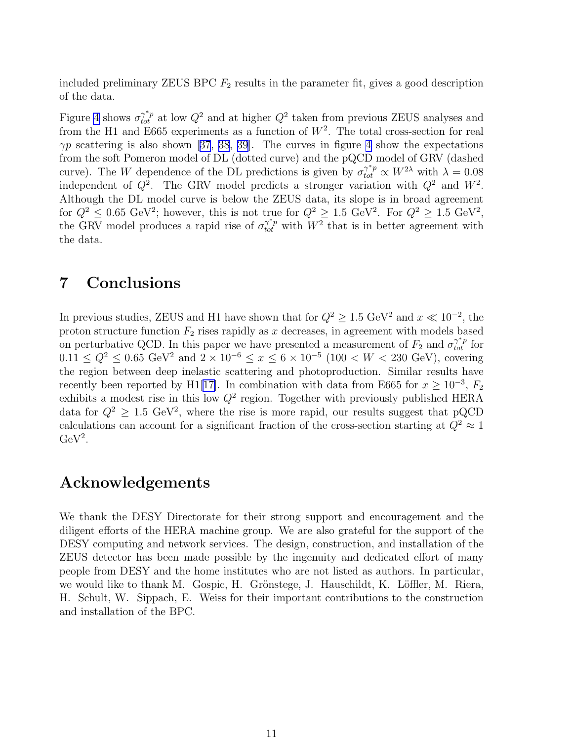included preliminary ZEUS BPC  $F_2$  results in the parameter fit, gives a good description of the data.

Figure [4](#page-25-0) shows  $\sigma_{tot}^{\gamma^*p}$  at low  $Q^2$  and at higher  $Q^2$  taken from previous ZEUS analyses and from the H1 and E665 experiments as a function of  $W^2$ . The total cross-section for real  $\gamma p$  $\gamma p$  $\gamma p$  scattering is also shown [[37](#page-21-0), [38](#page-21-0), [39](#page-21-0)]. The curves in figure [4](#page-25-0) show the expectations from the soft Pomeron model of DL (dotted curve) and the pQCD model of GRV (dashed curve). The W dependence of the DL predictions is given by  $\sigma_{tot}^{\gamma^* p} \propto W^{2\lambda}$  with  $\lambda = 0.08$ independent of  $Q^2$ . The GRV model predicts a stronger variation with  $Q^2$  and  $W^2$ . Although the DL model curve is below the ZEUS data, its slope is in broad agreement for  $Q^2 \leq 0.65 \text{ GeV}^2$ ; however, this is not true for  $Q^2 \geq 1.5 \text{ GeV}^2$ . For  $Q^2 \geq 1.5 \text{ GeV}^2$ , the GRV model produces a rapid rise of  $\sigma_{tot}^{\gamma^*p}$  with  $W^2$  that is in better agreement with the data.

## 7 Conclusions

In previous studies, ZEUS and H1 have shown that for  $Q^2 \geq 1.5 \text{ GeV}^2$  and  $x \ll 10^{-2}$ , the proton structure function  $F_2$  rises rapidly as x decreases, in agreement with models based on perturbative QCD. In this paper we have presented a measurement of  $F_2$  and  $\sigma_{tot}^{\gamma^*p}$  for  $0.11 \le Q^2 \le 0.65 \text{ GeV}^2 \text{ and } 2 \times 10^{-6} \le x \le 6 \times 10^{-5} \text{ (100 } < W < 230 \text{ GeV}) \text{, covering}$ the region between deep inelastic scattering and photoproduction. Similar results have recently been reported by H1[\[17\]](#page-20-0). In combination with data from E665 for  $x \ge 10^{-3}$ ,  $F_2$ exhibits a modest rise in this low  $Q^2$  region. Together with previously published HERA data for  $Q^2 \geq 1.5 \text{ GeV}^2$ , where the rise is more rapid, our results suggest that pQCD calculations can account for a significant fraction of the cross-section starting at  $Q^2 \approx 1$  $GeV<sup>2</sup>$ .

## Acknowledgements

We thank the DESY Directorate for their strong support and encouragement and the diligent efforts of the HERA machine group. We are also grateful for the support of the DESY computing and network services. The design, construction, and installation of the ZEUS detector has been made possible by the ingenuity and dedicated effort of many people from DESY and the home institutes who are not listed as authors. In particular, we would like to thank M. Gospic, H. Grönstege, J. Hauschildt, K. Löffler, M. Riera, H. Schult, W. Sippach, E. Weiss for their important contributions to the construction and installation of the BPC.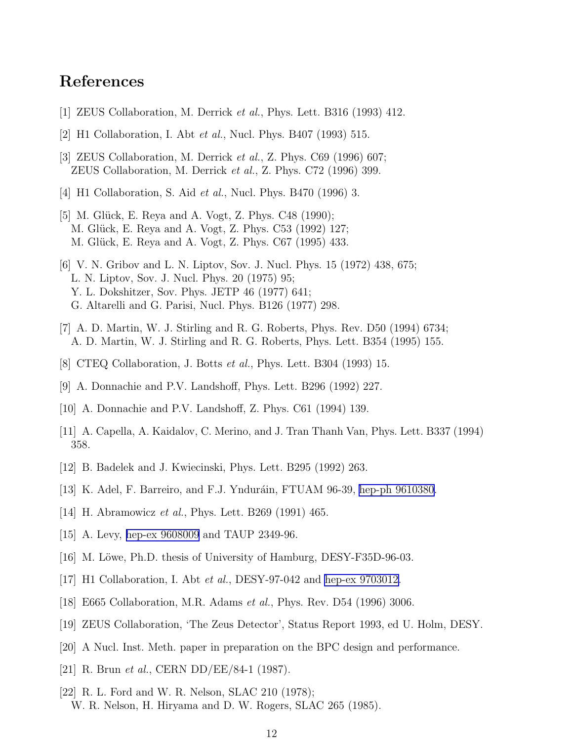## <span id="page-20-0"></span>References

- [1] ZEUS Collaboration, M. Derrick et al., Phys. Lett. B316 (1993) 412.
- [2] H1 Collaboration, I. Abt et al., Nucl. Phys. B407 (1993) 515.
- [3] ZEUS Collaboration, M. Derrick et al., Z. Phys. C69 (1996) 607; ZEUS Collaboration, M. Derrick et al., Z. Phys. C72 (1996) 399.
- [4] H1 Collaboration, S. Aid *et al.*, Nucl. Phys. B470 (1996) 3.
- [5] M. Glück, E. Reya and A. Vogt, Z. Phys. C48 (1990); M. Glück, E. Reya and A. Vogt, Z. Phys. C53 (1992) 127; M. Glück, E. Reya and A. Vogt, Z. Phys. C67 (1995) 433.
- [6] V. N. Gribov and L. N. Liptov, Sov. J. Nucl. Phys. 15 (1972) 438, 675; L. N. Liptov, Sov. J. Nucl. Phys. 20 (1975) 95; Y. L. Dokshitzer, Sov. Phys. JETP 46 (1977) 641; G. Altarelli and G. Parisi, Nucl. Phys. B126 (1977) 298.
- [7] A. D. Martin, W. J. Stirling and R. G. Roberts, Phys. Rev. D50 (1994) 6734; A. D. Martin, W. J. Stirling and R. G. Roberts, Phys. Lett. B354 (1995) 155.
- [8] CTEQ Collaboration, J. Botts et al., Phys. Lett. B304 (1993) 15.
- [9] A. Donnachie and P.V. Landshoff, Phys. Lett. B296 (1992) 227.
- [10] A. Donnachie and P.V. Landshoff, Z. Phys. C61 (1994) 139.
- [11] A. Capella, A. Kaidalov, C. Merino, and J. Tran Thanh Van, Phys. Lett. B337 (1994) 358.
- [12] B. Badelek and J. Kwiecinski, Phys. Lett. B295 (1992) 263.
- [13] K. Adel, F. Barreiro, and F.J. Ynduráin, FTUAM 96-39, hep-ph [9610380](http://arxiv.org/abs/hep-ph/9610380).
- [14] H. Abramowicz *et al.*, Phys. Lett. B269 (1991) 465.
- [15] A. Levy, [hep-ex 9608009](http://arxiv.org/abs/hep-ex/9608009) and TAUP 2349-96.
- [16] M. Löwe, Ph.D. thesis of University of Hamburg, DESY-F35D-96-03.
- [17] H1 Collaboration, I. Abt *et al.*, DESY-97-042 and [hep-ex 9703012.](http://arxiv.org/abs/hep-ex/9703012)
- [18] E665 Collaboration, M.R. Adams et al., Phys. Rev. D54 (1996) 3006.
- [19] ZEUS Collaboration, 'The Zeus Detector', Status Report 1993, ed U. Holm, DESY.
- [20] A Nucl. Inst. Meth. paper in preparation on the BPC design and performance.
- [21] R. Brun *et al.*, CERN DD/EE/84-1 (1987).
- [22] R. L. Ford and W. R. Nelson, SLAC 210 (1978); W. R. Nelson, H. Hiryama and D. W. Rogers, SLAC 265 (1985).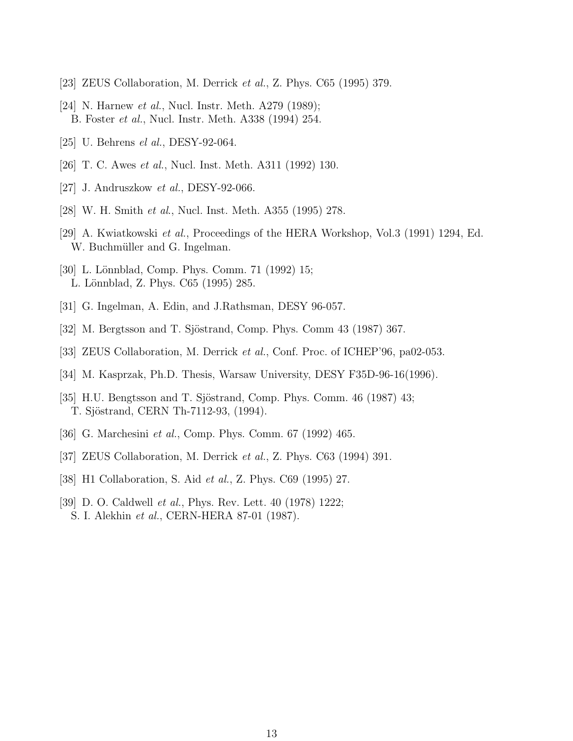- <span id="page-21-0"></span>[23] ZEUS Collaboration, M. Derrick *et al.*, Z. Phys. C65 (1995) 379.
- [24] N. Harnew *et al.*, Nucl. Instr. Meth. A279 (1989); B. Foster et al., Nucl. Instr. Meth. A338 (1994) 254.
- [25] U. Behrens *el al.*, DESY-92-064.
- [26] T. C. Awes et al., Nucl. Inst. Meth. A311 (1992) 130.
- [27] J. Andruszkow *et al.*, DESY-92-066.
- [28] W. H. Smith et al., Nucl. Inst. Meth. A355 (1995) 278.
- [29] A. Kwiatkowski et al., Proceedings of the HERA Workshop, Vol.3 (1991) 1294, Ed. W. Buchmüller and G. Ingelman.
- [30] L. Lönnblad, Comp. Phys. Comm. 71 (1992) 15; L. Lönnblad, Z. Phys. C65 (1995) 285.
- [31] G. Ingelman, A. Edin, and J.Rathsman, DESY 96-057.
- [32] M. Bergtsson and T. Sjöstrand, Comp. Phys. Comm 43 (1987) 367.
- [33] ZEUS Collaboration, M. Derrick et al., Conf. Proc. of ICHEP'96, pa02-053.
- [34] M. Kasprzak, Ph.D. Thesis, Warsaw University, DESY F35D-96-16(1996).
- [35] H.U. Bengtsson and T. Sjöstrand, Comp. Phys. Comm.  $46$  (1987)  $43$ ; T. Sjöstrand, CERN Th-7112-93, (1994).
- [36] G. Marchesini *et al.*, Comp. Phys. Comm. 67 (1992) 465.
- [37] ZEUS Collaboration, M. Derrick *et al.*, Z. Phys. C63 (1994) 391.
- [38] H1 Collaboration, S. Aid *et al.*, Z. Phys. C69 (1995) 27.
- [39] D. O. Caldwell *et al.*, Phys. Rev. Lett. 40 (1978) 1222; S. I. Alekhin et al., CERN-HERA 87-01 (1987).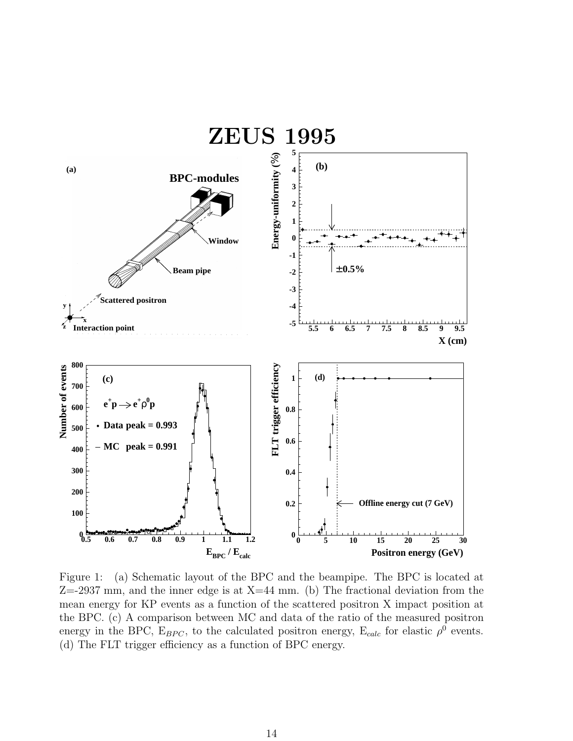<span id="page-22-0"></span>

Figure 1: (a) Schematic layout of the BPC and the beampipe. The BPC is located at  $Z=2937$  mm, and the inner edge is at  $X=44$  mm. (b) The fractional deviation from the mean energy for KP events as a function of the scattered positron X impact position at the BPC. (c) A comparison between MC and data of the ratio of the measured positron energy in the BPC,  $E_{BPC}$ , to the calculated positron energy,  $E_{calc}$  for elastic  $\rho^0$  events. (d) The FLT trigger efficiency as a function of BPC energy.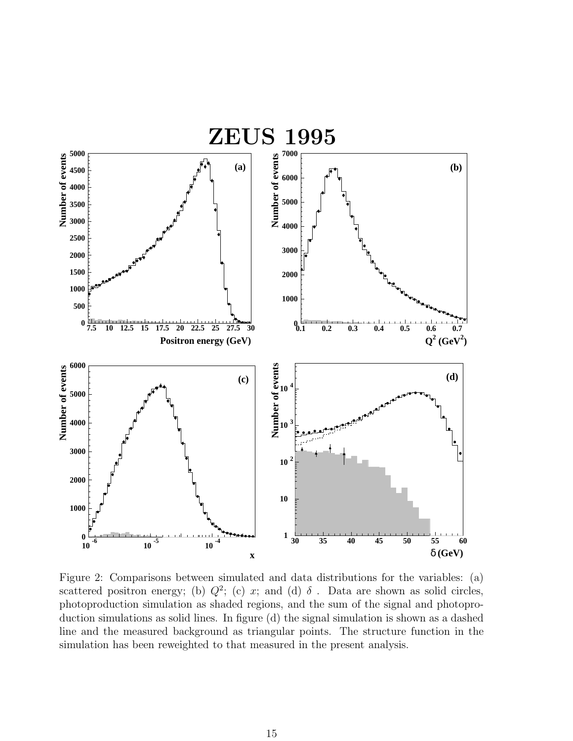<span id="page-23-0"></span>

Figure 2: Comparisons between simulated and data distributions for the variables: (a) scattered positron energy; (b)  $Q^2$ ; (c) x; and (d)  $\delta$ . Data are shown as solid circles, photoproduction simulation as shaded regions, and the sum of the signal and photoproduction simulations as solid lines. In figure (d) the signal simulation is shown as a dashed line and the measured background as triangular points. The structure function in the simulation has been reweighted to that measured in the present analysis.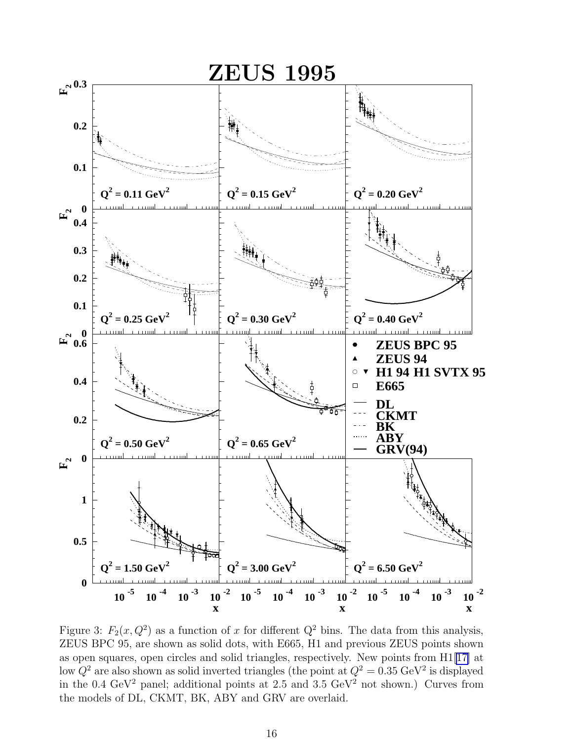<span id="page-24-0"></span>

Figure 3:  $F_2(x, Q^2)$  as a function of x for different  $Q^2$  bins. The data from this analysis, ZEUS BPC 95, are shown as solid dots, with E665, H1 and previous ZEUS points shown as open squares, open circles and solid triangles, respectively. New points from H1[[17\]](#page-20-0) at low  $Q^2$  are also shown as solid inverted triangles (the point at  $Q^2 = 0.35 \text{ GeV}^2$  is displayed in the 0.4 GeV<sup>2</sup> panel; additional points at 2.5 and 3.5 GeV<sup>2</sup> not shown.) Curves from the models of DL, CKMT, BK, ABY and GRV are overlaid.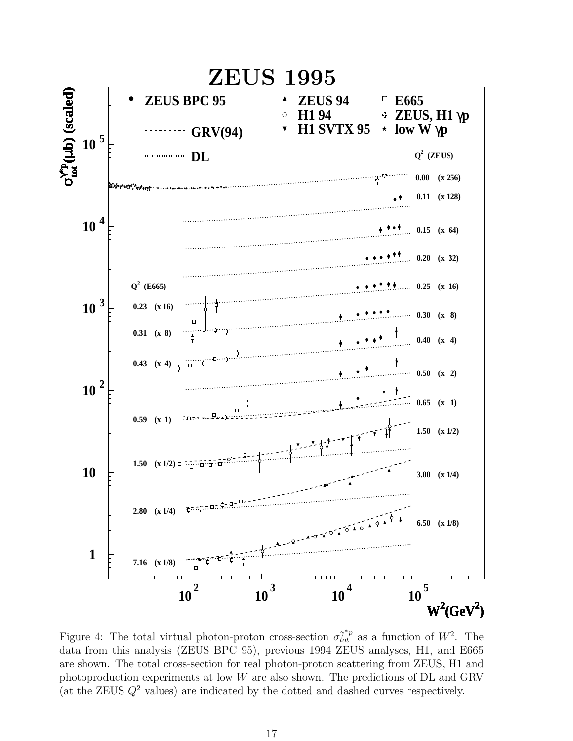<span id="page-25-0"></span>

Figure 4: The total virtual photon-proton cross-section  $\sigma_{tot}^{\gamma^*p}$  as a function of  $W^2$ . The data from this analysis (ZEUS BPC 95), previous 1994 ZEUS analyses, H1, and E665 are shown. The total cross-section for real photon-proton scattering from ZEUS, H1 and photoproduction experiments at low W are also shown. The predictions of DL and GRV (at the ZEUS  $Q^2$  values) are indicated by the dotted and dashed curves respectively.